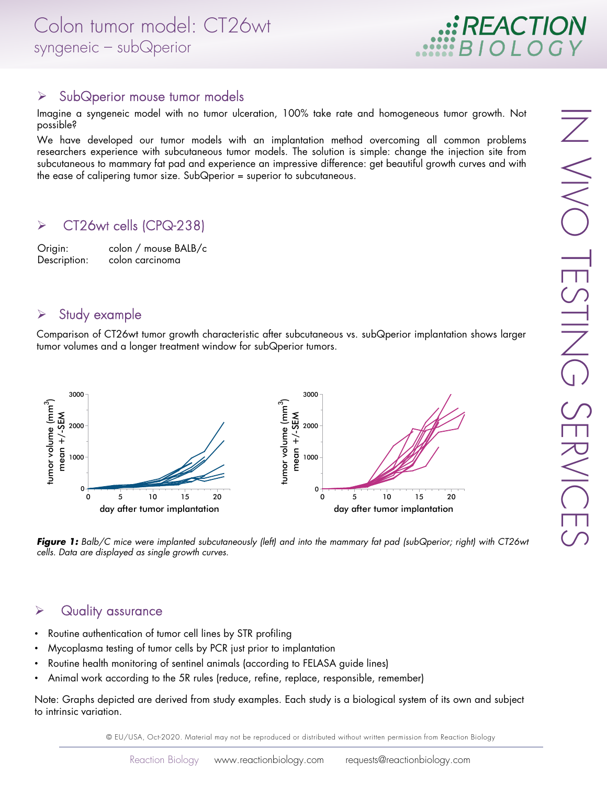

#### > SubQperior mouse tumor models

Imagine a syngeneic model with no tumor ulceration, 100% take rate and homogeneous tumor growth. Not possible?

We have developed our tumor models with an implantation method overcoming all common problems researchers experience with subcutaneous tumor models. The solution is simple: change the injection site from subcutaneous to mammary fat pad and experience an impressive difference: get beautiful growth curves and with the ease of calipering tumor size. SubQperior = superior to subcutaneous.

### CT26wt cells (CPQ-238)

Origin: colon / mouse BALB/c Description: colon carcinoma

#### $\triangleright$  Study example

Comparison of CT26wt tumor growth characteristic after subcutaneous vs. subQperior implantation shows larger tumor volumes and a longer treatment window for subQperior tumors.



 $\overline{\angle}$ 

VIVO

**Figure 1:** Balb/C mice were implanted subcutaneously (left) and into the mammary fat pad (subQperior; right) with CT26wt *cells. Data are displayed as single growth curves.*

#### $\triangleright$  Quality assurance

- Routine authentication of tumor cell lines by STR profiling
- Mycoplasma testing of tumor cells by PCR just prior to implantation
- Routine health monitoring of sentinel animals (according to FELASA guide lines)
- Animal work according to the 5R rules (reduce, refine, replace, responsible, remember)

Note: Graphs depicted are derived from study examples. Each study is a biological system of its own and subject to intrinsic variation.

© EU/USA, Oct-2020. Material may not be reproduced or distributed without written permission from Reaction Biology